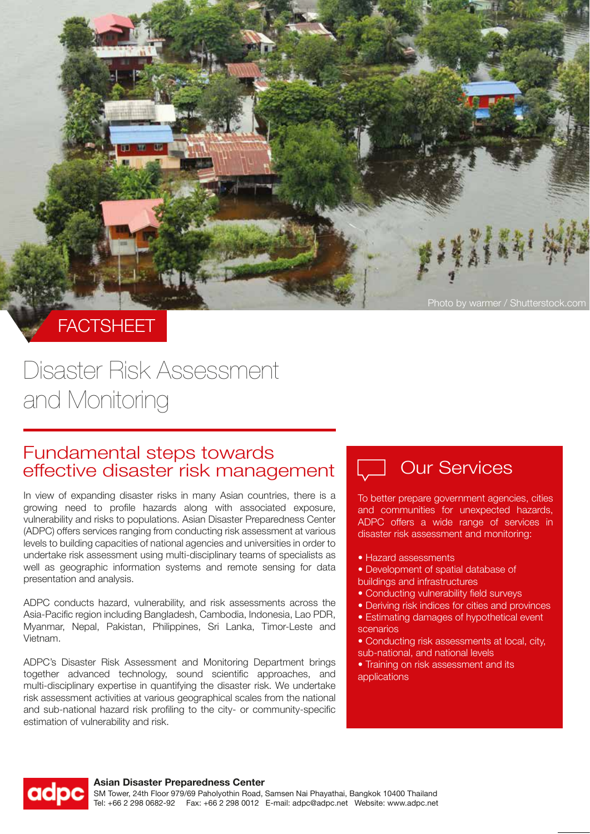

**FACTSHEET** 

## Disaster Risk Assessment and Monitoring

# Fundamental steps towards<br>effective disaster risk management [U Our Services

In view of expanding disaster risks in many Asian countries, there is a growing need to profile hazards along with associated exposure, vulnerability and risks to populations. Asian Disaster Preparedness Center (ADPC) offers services ranging from conducting risk assessment at various levels to building capacities of national agencies and universities in order to undertake risk assessment using multi-disciplinary teams of specialists as well as geographic information systems and remote sensing for data presentation and analysis.

ADPC conducts hazard, vulnerability, and risk assessments across the Asia-Pacific region including Bangladesh, Cambodia, Indonesia, Lao PDR, Myanmar, Nepal, Pakistan, Philippines, Sri Lanka, Timor-Leste and Vietnam.

ADPC's Disaster Risk Assessment and Monitoring Department brings together advanced technology, sound scientific approaches, and multi-disciplinary expertise in quantifying the disaster risk. We undertake risk assessment activities at various geographical scales from the national and sub-national hazard risk profiling to the city- or community-specific estimation of vulnerability and risk.

To better prepare government agencies, cities and communities for unexpected hazards, ADPC offers a wide range of services in disaster risk assessment and monitoring:

- Hazard assessments
- Development of spatial database of buildings and infrastructures
- Conducting vulnerability field surveys
- Deriving risk indices for cities and provinces • Estimating damages of hypothetical event
- scenarios
- Conducting risk assessments at local, city, sub-national, and national levels
- Training on risk assessment and its applications



### **Asian Disaster Preparedness Center**